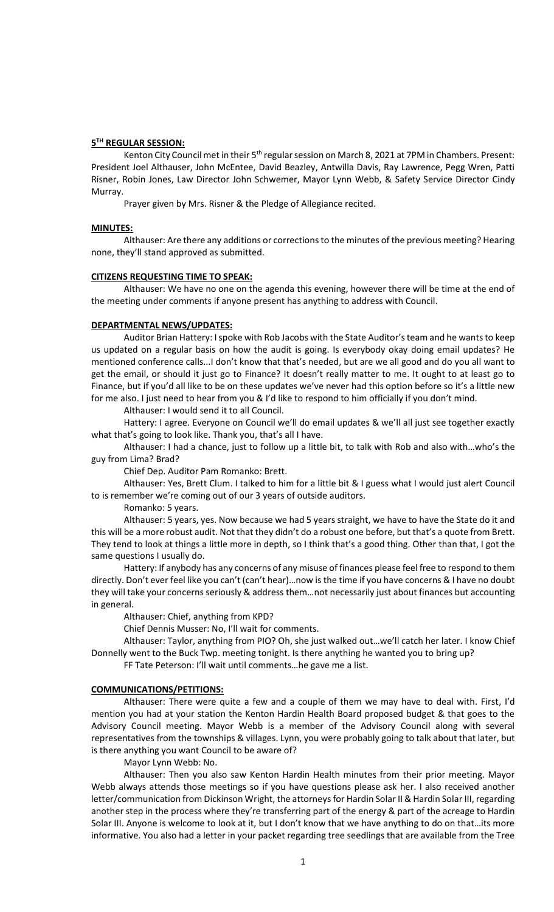## **5 TH REGULAR SESSION:**

Kenton City Council met in their 5<sup>th</sup> regular session on March 8, 2021 at 7PM in Chambers. Present: President Joel Althauser, John McEntee, David Beazley, Antwilla Davis, Ray Lawrence, Pegg Wren, Patti Risner, Robin Jones, Law Director John Schwemer, Mayor Lynn Webb, & Safety Service Director Cindy Murray.

Prayer given by Mrs. Risner & the Pledge of Allegiance recited.

## **MINUTES:**

Althauser: Are there any additions or corrections to the minutes of the previous meeting? Hearing none, they'll stand approved as submitted.

#### **CITIZENS REQUESTING TIME TO SPEAK:**

Althauser: We have no one on the agenda this evening, however there will be time at the end of the meeting under comments if anyone present has anything to address with Council.

## **DEPARTMENTAL NEWS/UPDATES:**

Auditor Brian Hattery: I spoke with Rob Jacobs with the State Auditor's team and he wants to keep us updated on a regular basis on how the audit is going. Is everybody okay doing email updates? He mentioned conference calls...I don't know that that's needed, but are we all good and do you all want to get the email, or should it just go to Finance? It doesn't really matter to me. It ought to at least go to Finance, but if you'd all like to be on these updates we've never had this option before so it's a little new for me also. I just need to hear from you & I'd like to respond to him officially if you don't mind.

Althauser: I would send it to all Council.

Hattery: I agree. Everyone on Council we'll do email updates & we'll all just see together exactly what that's going to look like. Thank you, that's all I have.

Althauser: I had a chance, just to follow up a little bit, to talk with Rob and also with…who's the guy from Lima? Brad?

Chief Dep. Auditor Pam Romanko: Brett.

Althauser: Yes, Brett Clum. I talked to him for a little bit & I guess what I would just alert Council to is remember we're coming out of our 3 years of outside auditors.

Romanko: 5 years.

Althauser: 5 years, yes. Now because we had 5 years straight, we have to have the State do it and this will be a more robust audit. Not that they didn't do a robust one before, but that's a quote from Brett. They tend to look at things a little more in depth, so I think that's a good thing. Other than that, I got the same questions I usually do.

Hattery: If anybody has any concerns of any misuse of finances please feel free to respond to them directly. Don't ever feel like you can't (can't hear)…now is the time if you have concerns & I have no doubt they will take your concerns seriously & address them…not necessarily just about finances but accounting in general.

Althauser: Chief, anything from KPD?

Chief Dennis Musser: No, I'll wait for comments.

Althauser: Taylor, anything from PIO? Oh, she just walked out…we'll catch her later. I know Chief Donnelly went to the Buck Twp. meeting tonight. Is there anything he wanted you to bring up?

FF Tate Peterson: I'll wait until comments…he gave me a list.

#### **COMMUNICATIONS/PETITIONS:**

Althauser: There were quite a few and a couple of them we may have to deal with. First, I'd mention you had at your station the Kenton Hardin Health Board proposed budget & that goes to the Advisory Council meeting. Mayor Webb is a member of the Advisory Council along with several representatives from the townships & villages. Lynn, you were probably going to talk about that later, but is there anything you want Council to be aware of?

Mayor Lynn Webb: No.

Althauser: Then you also saw Kenton Hardin Health minutes from their prior meeting. Mayor Webb always attends those meetings so if you have questions please ask her. I also received another letter/communication from Dickinson Wright, the attorneys for Hardin Solar II & Hardin Solar III, regarding another step in the process where they're transferring part of the energy & part of the acreage to Hardin Solar III. Anyone is welcome to look at it, but I don't know that we have anything to do on that…its more informative. You also had a letter in your packet regarding tree seedlings that are available from the Tree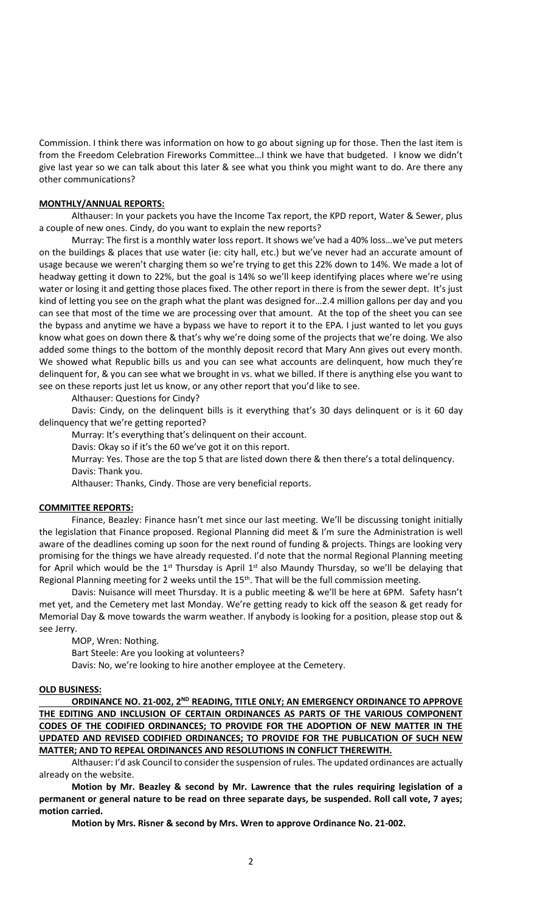Commission. I think there was information on how to go about signing up for those. Then the last item is from the Freedom Celebration Fireworks Committee…I think we have that budgeted. I know we didn't give last year so we can talk about this later & see what you think you might want to do. Are there any other communications?

## **MONTHLY/ANNUAL REPORTS:**

Althauser: In your packets you have the Income Tax report, the KPD report, Water & Sewer, plus a couple of new ones. Cindy, do you want to explain the new reports?

Murray: The first is a monthly water loss report. It shows we've had a 40% loss…we've put meters on the buildings & places that use water (ie: city hall, etc.) but we've never had an accurate amount of usage because we weren't charging them so we're trying to get this 22% down to 14%. We made a lot of headway getting it down to 22%, but the goal is 14% so we'll keep identifying places where we're using water or losing it and getting those places fixed. The other report in there is from the sewer dept. It's just kind of letting you see on the graph what the plant was designed for…2.4 million gallons per day and you can see that most of the time we are processing over that amount. At the top of the sheet you can see the bypass and anytime we have a bypass we have to report it to the EPA. I just wanted to let you guys know what goes on down there & that's why we're doing some of the projects that we're doing. We also added some things to the bottom of the monthly deposit record that Mary Ann gives out every month. We showed what Republic bills us and you can see what accounts are delinguent, how much they're delinquent for, & you can see what we brought in vs. what we billed. If there is anything else you want to see on these reports just let us know, or any other report that you'd like to see.

Althauser: Questions for Cindy?

Davis: Cindy, on the delinquent bills is it everything that's 30 days delinquent or is it 60 day delinquency that we're getting reported?

Murray: It's everything that's delinquent on their account.

Davis: Okay so if it's the 60 we've got it on this report.

Murray: Yes. Those are the top 5 that are listed down there & then there's a total delinquency. Davis: Thank you.

Althauser: Thanks, Cindy. Those are very beneficial reports.

### **COMMITTEE REPORTS:**

Finance, Beazley: Finance hasn't met since our last meeting. We'll be discussing tonight initially the legislation that Finance proposed. Regional Planning did meet & I'm sure the Administration is well aware of the deadlines coming up soon for the next round of funding & projects. Things are looking very promising for the things we have already requested. I'd note that the normal Regional Planning meeting for April which would be the  $1<sup>st</sup>$  Thursday is April  $1<sup>st</sup>$  also Maundy Thursday, so we'll be delaying that Regional Planning meeting for 2 weeks until the 15<sup>th</sup>. That will be the full commission meeting.

Davis: Nuisance will meet Thursday. It is a public meeting & we'll be here at 6PM. Safety hasn't met yet, and the Cemetery met last Monday. We're getting ready to kick off the season & get ready for Memorial Day & move towards the warm weather. If anybody is looking for a position, please stop out & see Jerry.

MOP, Wren: Nothing.

Bart Steele: Are you looking at volunteers?

Davis: No, we're looking to hire another employee at the Cemetery.

## **OLD BUSINESS:**

**ORDINANCE NO. 21-002, 2ND READING, TITLE ONLY; AN EMERGENCY ORDINANCE TO APPROVE THE EDITING AND INCLUSION OF CERTAIN ORDINANCES AS PARTS OF THE VARIOUS COMPONENT CODES OF THE CODIFIED ORDINANCES; TO PROVIDE FOR THE ADOPTION OF NEW MATTER IN THE UPDATED AND REVISED CODIFIED ORDINANCES; TO PROVIDE FOR THE PUBLICATION OF SUCH NEW MATTER; AND TO REPEAL ORDINANCES AND RESOLUTIONS IN CONFLICT THEREWITH.**

Althauser: I'd ask Council to consider the suspension of rules. The updated ordinances are actually already on the website.

**Motion by Mr. Beazley & second by Mr. Lawrence that the rules requiring legislation of a permanent or general nature to be read on three separate days, be suspended. Roll call vote, 7 ayes; motion carried.**

**Motion by Mrs. Risner & second by Mrs. Wren to approve Ordinance No. 21-002.**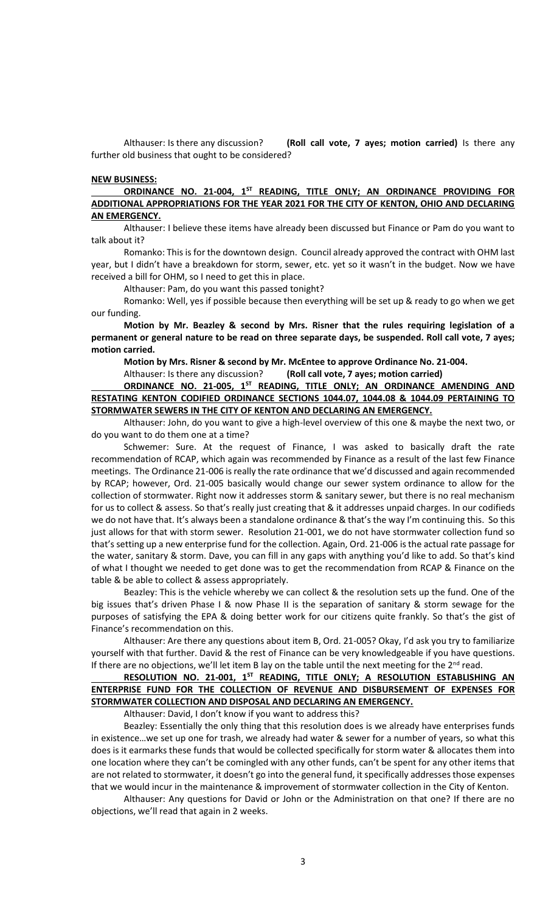Althauser: Is there any discussion? **(Roll call vote, 7 ayes; motion carried)** Is there any further old business that ought to be considered?

## **NEW BUSINESS:**

**ORDINANCE NO. 21-004, 1ST READING, TITLE ONLY; AN ORDINANCE PROVIDING FOR ADDITIONAL APPROPRIATIONS FOR THE YEAR 2021 FOR THE CITY OF KENTON, OHIO AND DECLARING AN EMERGENCY.**

Althauser: I believe these items have already been discussed but Finance or Pam do you want to talk about it?

Romanko: This is for the downtown design. Council already approved the contract with OHM last year, but I didn't have a breakdown for storm, sewer, etc. yet so it wasn't in the budget. Now we have received a bill for OHM, so I need to get this in place.

Althauser: Pam, do you want this passed tonight?

Romanko: Well, yes if possible because then everything will be set up & ready to go when we get our funding.

**Motion by Mr. Beazley & second by Mrs. Risner that the rules requiring legislation of a permanent or general nature to be read on three separate days, be suspended. Roll call vote, 7 ayes; motion carried.**

**Motion by Mrs. Risner & second by Mr. McEntee to approve Ordinance No. 21-004.**

Althauser: Is there any discussion? **(Roll call vote, 7 ayes; motion carried)**

**ORDINANCE NO. 21-005, 1ST READING, TITLE ONLY; AN ORDINANCE AMENDING AND RESTATING KENTON CODIFIED ORDINANCE SECTIONS 1044.07, 1044.08 & 1044.09 PERTAINING TO STORMWATER SEWERS IN THE CITY OF KENTON AND DECLARING AN EMERGENCY.** 

Althauser: John, do you want to give a high-level overview of this one & maybe the next two, or do you want to do them one at a time?

Schwemer: Sure. At the request of Finance, I was asked to basically draft the rate recommendation of RCAP, which again was recommended by Finance as a result of the last few Finance meetings. The Ordinance 21-006 is really the rate ordinance that we'd discussed and again recommended by RCAP; however, Ord. 21-005 basically would change our sewer system ordinance to allow for the collection of stormwater. Right now it addresses storm & sanitary sewer, but there is no real mechanism for us to collect & assess. So that's really just creating that & it addresses unpaid charges. In our codifieds we do not have that. It's always been a standalone ordinance & that's the way I'm continuing this. So this just allows for that with storm sewer. Resolution 21-001, we do not have stormwater collection fund so that's setting up a new enterprise fund for the collection. Again, Ord. 21-006 is the actual rate passage for the water, sanitary & storm. Dave, you can fill in any gaps with anything you'd like to add. So that's kind of what I thought we needed to get done was to get the recommendation from RCAP & Finance on the table & be able to collect & assess appropriately.

Beazley: This is the vehicle whereby we can collect & the resolution sets up the fund. One of the big issues that's driven Phase I & now Phase II is the separation of sanitary & storm sewage for the purposes of satisfying the EPA & doing better work for our citizens quite frankly. So that's the gist of Finance's recommendation on this.

Althauser: Are there any questions about item B, Ord. 21-005? Okay, I'd ask you try to familiarize yourself with that further. David & the rest of Finance can be very knowledgeable if you have questions. If there are no objections, we'll let item B lay on the table until the next meeting for the  $2^{nd}$  read.

# **RESOLUTION NO. 21-001, 1ST READING, TITLE ONLY; A RESOLUTION ESTABLISHING AN ENTERPRISE FUND FOR THE COLLECTION OF REVENUE AND DISBURSEMENT OF EXPENSES FOR STORMWATER COLLECTION AND DISPOSAL AND DECLARING AN EMERGENCY.**

Althauser: David, I don't know if you want to address this?

Beazley: Essentially the only thing that this resolution does is we already have enterprises funds in existence…we set up one for trash, we already had water & sewer for a number of years, so what this does is it earmarks these funds that would be collected specifically for storm water & allocates them into one location where they can't be comingled with any other funds, can't be spent for any other items that are not related to stormwater, it doesn't go into the general fund, it specifically addresses those expenses that we would incur in the maintenance & improvement of stormwater collection in the City of Kenton.

Althauser: Any questions for David or John or the Administration on that one? If there are no objections, we'll read that again in 2 weeks.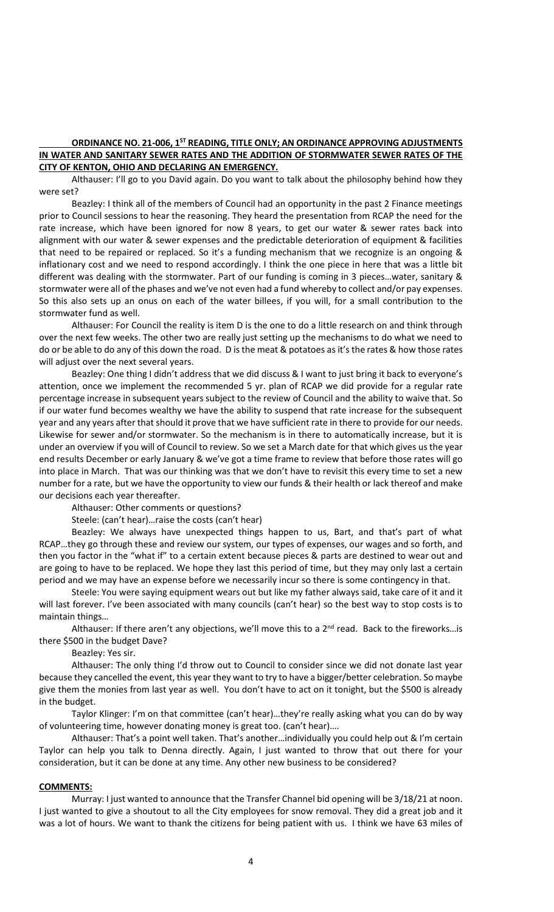# **ORDINANCE NO. 21-006, 1ST READING, TITLE ONLY; AN ORDINANCE APPROVING ADJUSTMENTS IN WATER AND SANITARY SEWER RATES AND THE ADDITION OF STORMWATER SEWER RATES OF THE CITY OF KENTON, OHIO AND DECLARING AN EMERGENCY.**

Althauser: I'll go to you David again. Do you want to talk about the philosophy behind how they were set?

Beazley: I think all of the members of Council had an opportunity in the past 2 Finance meetings prior to Council sessions to hear the reasoning. They heard the presentation from RCAP the need for the rate increase, which have been ignored for now 8 years, to get our water & sewer rates back into alignment with our water & sewer expenses and the predictable deterioration of equipment & facilities that need to be repaired or replaced. So it's a funding mechanism that we recognize is an ongoing & inflationary cost and we need to respond accordingly. I think the one piece in here that was a little bit different was dealing with the stormwater. Part of our funding is coming in 3 pieces…water, sanitary & stormwater were all of the phases and we've not even had a fund whereby to collect and/or pay expenses. So this also sets up an onus on each of the water billees, if you will, for a small contribution to the stormwater fund as well.

Althauser: For Council the reality is item D is the one to do a little research on and think through over the next few weeks. The other two are really just setting up the mechanisms to do what we need to do or be able to do any of this down the road. D is the meat & potatoes as it's the rates & how those rates will adjust over the next several years.

Beazley: One thing I didn't address that we did discuss & I want to just bring it back to everyone's attention, once we implement the recommended 5 yr. plan of RCAP we did provide for a regular rate percentage increase in subsequent years subject to the review of Council and the ability to waive that. So if our water fund becomes wealthy we have the ability to suspend that rate increase for the subsequent year and any years after that should it prove that we have sufficient rate in there to provide for our needs. Likewise for sewer and/or stormwater. So the mechanism is in there to automatically increase, but it is under an overview if you will of Council to review. So we set a March date for that which gives us the year end results December or early January & we've got a time frame to review that before those rates will go into place in March. That was our thinking was that we don't have to revisit this every time to set a new number for a rate, but we have the opportunity to view our funds & their health or lack thereof and make our decisions each year thereafter.

Althauser: Other comments or questions?

Steele: (can't hear)…raise the costs (can't hear)

Beazley: We always have unexpected things happen to us, Bart, and that's part of what RCAP…they go through these and review our system, our types of expenses, our wages and so forth, and then you factor in the "what if" to a certain extent because pieces & parts are destined to wear out and are going to have to be replaced. We hope they last this period of time, but they may only last a certain period and we may have an expense before we necessarily incur so there is some contingency in that.

Steele: You were saying equipment wears out but like my father always said, take care of it and it will last forever. I've been associated with many councils (can't hear) so the best way to stop costs is to maintain things…

Althauser: If there aren't any objections, we'll move this to a  $2<sup>nd</sup>$  read. Back to the fireworks... is there \$500 in the budget Dave?

Beazley: Yes sir.

Althauser: The only thing I'd throw out to Council to consider since we did not donate last year because they cancelled the event, this year they want to try to have a bigger/better celebration. So maybe give them the monies from last year as well. You don't have to act on it tonight, but the \$500 is already in the budget.

Taylor Klinger: I'm on that committee (can't hear)…they're really asking what you can do by way of volunteering time, however donating money is great too. (can't hear)….

Althauser: That's a point well taken. That's another…individually you could help out & I'm certain Taylor can help you talk to Denna directly. Again, I just wanted to throw that out there for your consideration, but it can be done at any time. Any other new business to be considered?

### **COMMENTS:**

Murray: I just wanted to announce that the Transfer Channel bid opening will be 3/18/21 at noon. I just wanted to give a shoutout to all the City employees for snow removal. They did a great job and it was a lot of hours. We want to thank the citizens for being patient with us. I think we have 63 miles of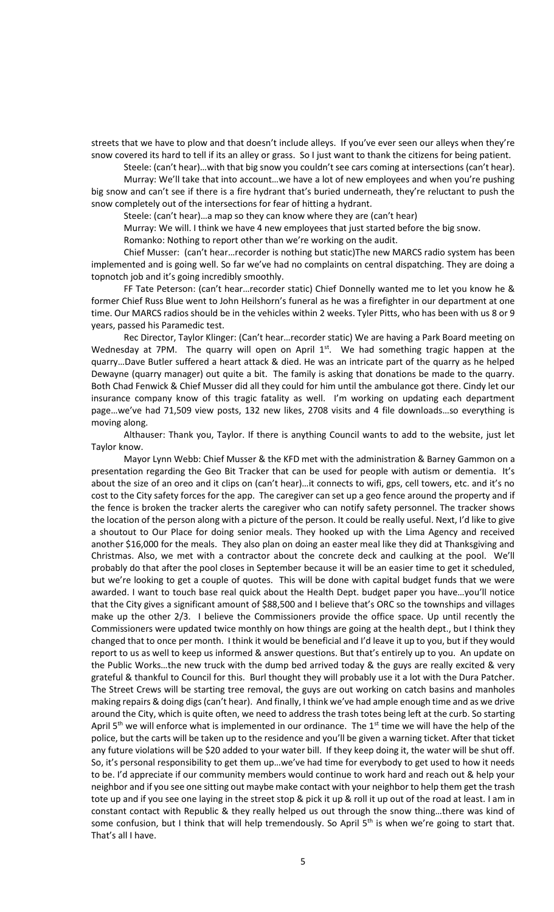streets that we have to plow and that doesn't include alleys. If you've ever seen our alleys when they're snow covered its hard to tell if its an alley or grass. So I just want to thank the citizens for being patient.

Steele: (can't hear)…with that big snow you couldn't see cars coming at intersections (can't hear).

Murray: We'll take that into account…we have a lot of new employees and when you're pushing big snow and can't see if there is a fire hydrant that's buried underneath, they're reluctant to push the snow completely out of the intersections for fear of hitting a hydrant.

Steele: (can't hear)…a map so they can know where they are (can't hear)

Murray: We will. I think we have 4 new employees that just started before the big snow.

Romanko: Nothing to report other than we're working on the audit.

Chief Musser: (can't hear…recorder is nothing but static)The new MARCS radio system has been implemented and is going well. So far we've had no complaints on central dispatching. They are doing a topnotch job and it's going incredibly smoothly.

FF Tate Peterson: (can't hear…recorder static) Chief Donnelly wanted me to let you know he & former Chief Russ Blue went to John Heilshorn's funeral as he was a firefighter in our department at one time. Our MARCS radios should be in the vehicles within 2 weeks. Tyler Pitts, who has been with us 8 or 9 years, passed his Paramedic test.

Rec Director, Taylor Klinger: (Can't hear…recorder static) We are having a Park Board meeting on Wednesday at 7PM. The quarry will open on April  $1^{st}$ . We had something tragic happen at the quarry…Dave Butler suffered a heart attack & died. He was an intricate part of the quarry as he helped Dewayne (quarry manager) out quite a bit. The family is asking that donations be made to the quarry. Both Chad Fenwick & Chief Musser did all they could for him until the ambulance got there. Cindy let our insurance company know of this tragic fatality as well. I'm working on updating each department page…we've had 71,509 view posts, 132 new likes, 2708 visits and 4 file downloads…so everything is moving along.

Althauser: Thank you, Taylor. If there is anything Council wants to add to the website, just let Taylor know.

Mayor Lynn Webb: Chief Musser & the KFD met with the administration & Barney Gammon on a presentation regarding the Geo Bit Tracker that can be used for people with autism or dementia. It's about the size of an oreo and it clips on (can't hear)…it connects to wifi, gps, cell towers, etc. and it's no cost to the City safety forces for the app. The caregiver can set up a geo fence around the property and if the fence is broken the tracker alerts the caregiver who can notify safety personnel. The tracker shows the location of the person along with a picture of the person. It could be really useful. Next, I'd like to give a shoutout to Our Place for doing senior meals. They hooked up with the Lima Agency and received another \$16,000 for the meals. They also plan on doing an easter meal like they did at Thanksgiving and Christmas. Also, we met with a contractor about the concrete deck and caulking at the pool. We'll probably do that after the pool closes in September because it will be an easier time to get it scheduled, but we're looking to get a couple of quotes. This will be done with capital budget funds that we were awarded. I want to touch base real quick about the Health Dept. budget paper you have...you'll notice that the City gives a significant amount of \$88,500 and I believe that's ORC so the townships and villages make up the other 2/3. I believe the Commissioners provide the office space. Up until recently the Commissioners were updated twice monthly on how things are going at the health dept., but I think they changed that to once per month. I think it would be beneficial and I'd leave it up to you, but if they would report to us as well to keep us informed & answer questions. But that's entirely up to you. An update on the Public Works…the new truck with the dump bed arrived today & the guys are really excited & very grateful & thankful to Council for this. Burl thought they will probably use it a lot with the Dura Patcher. The Street Crews will be starting tree removal, the guys are out working on catch basins and manholes making repairs & doing digs (can't hear). And finally, I think we've had ample enough time and as we drive around the City, which is quite often, we need to address the trash totes being left at the curb. So starting April  $5<sup>th</sup>$  we will enforce what is implemented in our ordinance. The 1<sup>st</sup> time we will have the help of the police, but the carts will be taken up to the residence and you'll be given a warning ticket. After that ticket any future violations will be \$20 added to your water bill. If they keep doing it, the water will be shut off. So, it's personal responsibility to get them up…we've had time for everybody to get used to how it needs to be. I'd appreciate if our community members would continue to work hard and reach out & help your neighbor and if you see one sitting out maybe make contact with your neighbor to help them get the trash tote up and if you see one laying in the street stop & pick it up & roll it up out of the road at least. I am in constant contact with Republic & they really helped us out through the snow thing…there was kind of some confusion, but I think that will help tremendously. So April  $5<sup>th</sup>$  is when we're going to start that. That's all I have.